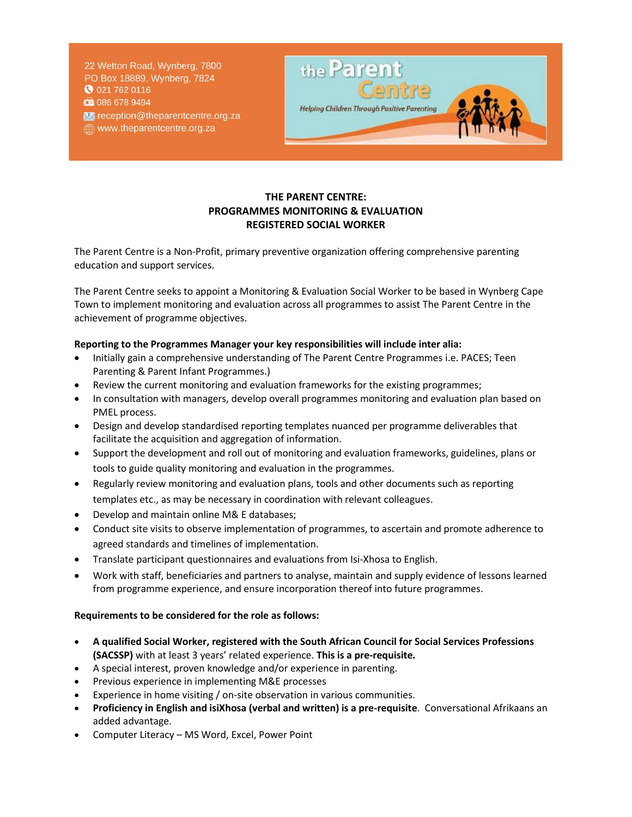22 Wetton Road, Wynberg, 7800 PO Box 18889, Wynberg, 7824 **0** 021 762 0116 □ 086 678 9494 se reception@theparentcentre.org.za www.theparentcentre.org.za



## **THE PARENT CENTRE: PROGRAMMES MONITORING & EVALUATION REGISTERED SOCIAL WORKER**

The Parent Centre is a Non-Profit, primary preventive organization offering comprehensive parenting education and support services.

The Parent Centre seeks to appoint a Monitoring & Evaluation Social Worker to be based in Wynberg Cape Town to implement monitoring and evaluation across all programmes to assist The Parent Centre in the achievement of programme objectives.

## **Reporting to the Programmes Manager your key responsibilities will include inter alia:**

- Initially gain a comprehensive understanding of The Parent Centre Programmes i.e. PACES; Teen Parenting & Parent Infant Programmes.)
- Review the current monitoring and evaluation frameworks for the existing programmes;
- In consultation with managers, develop overall programmes monitoring and evaluation plan based on PMEL process.
- Design and develop standardised reporting templates nuanced per programme deliverables that facilitate the acquisition and aggregation of information.
- Support the development and roll out of monitoring and evaluation frameworks, guidelines, plans or tools to guide quality monitoring and evaluation in the programmes.
- Regularly review monitoring and evaluation plans, tools and other documents such as reporting templates etc., as may be necessary in coordination with relevant colleagues.
- Develop and maintain online M& E databases;
- Conduct site visits to observe implementation of programmes, to ascertain and promote adherence to agreed standards and timelines of implementation.
- Translate participant questionnaires and evaluations from Isi-Xhosa to English.
- Work with staff, beneficiaries and partners to analyse, maintain and supply evidence of lessons learned from programme experience, and ensure incorporation thereof into future programmes.

## **Requirements to be considered for the role as follows:**

- **A qualified Social Worker, registered with the South African Council for Social Services Professions (SACSSP)** with at least 3 years' related experience. **This is a pre-requisite.**
- A special interest, proven knowledge and/or experience in parenting.
- Previous experience in implementing M&E processes
- Experience in home visiting / on-site observation in various communities.
- **Proficiency in English and isiXhosa (verbal and written) is a pre-requisite**. Conversational Afrikaans an added advantage.
- Computer Literacy MS Word, Excel, Power Point